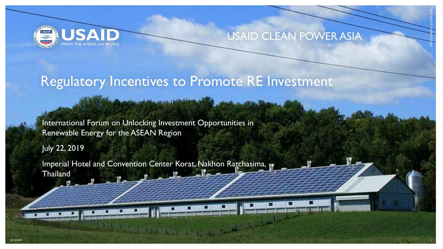

#### USAID CLEAN POWER ASIA

PHOTO CREDIT: ISTOCK.COM

### Regulatory Incentives to Promote RE Investment

المحاسبين بعيدته

International Forum on Unlocking Investment Opportunities in Renewable Energy for the ASEAN Region

July 22, 2019

Imperial Hotel and Convention Center Korat, Nakhon Ratchasima, **Thailand** 

Allegal District in the Co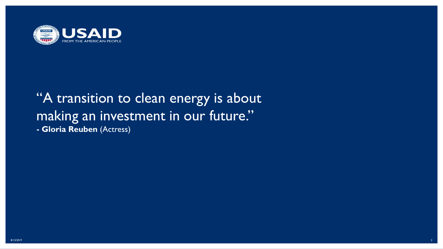

# "A transition to clean energy is about making an investment in our future."

**- Gloria Reuben** (Actress)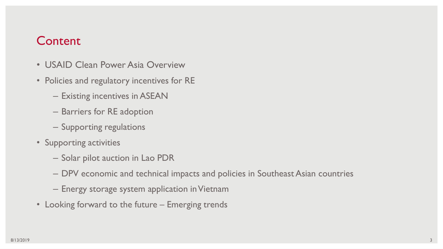#### Content

- USAID Clean Power Asia Overview
- Policies and regulatory incentives for RE
	- Existing incentives in ASEAN
	- Barriers for RE adoption
	- Supporting regulations
- Supporting activities
	- Solar pilot auction in Lao PDR
	- DPV economic and technical impacts and policies in Southeast Asian countries
	- Energy storage system application in Vietnam
- Looking forward to the future Emerging trends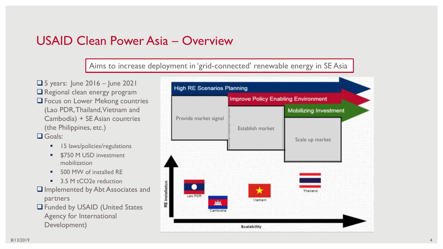#### USAID Clean Power Asia – Overview

Aims to increase deployment in 'grid-connected' renewable energy in SE Asia

 $\Box$  5 years: June 2016 – June 2021 **Q** Regional clean energy program **Q** Focus on Lower Mekong countries (Lao PDR, Thailand, Vietnam and Cambodia) + SE Asian countries (the Philippines, etc.)

**Q** Goals:

- **15 laws/policies/regulations**
- **S750 M USD investment** mobilization
- 500 MW of installed RE
- 3.5 M tCO2e reduction
- $\Box$  Implemented by Abt Associates and partners
- Funded by USAID (United States Agency for International Development)

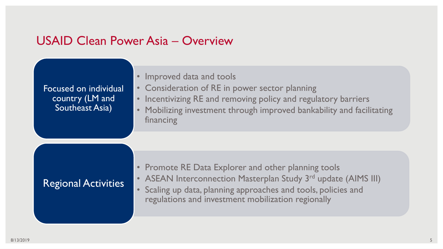#### USAID Clean Power Asia – Overview

| <b>Focused on individual</b><br>country (LM and<br>Southeast Asia) | Improved data and tools<br>• Consideration of RE in power sector planning<br>Incentivizing RE and removing policy and regulatory barriers<br>$\bullet$<br>Mobilizing investment through improved bankability and facilitating<br>financing                     |  |  |  |
|--------------------------------------------------------------------|----------------------------------------------------------------------------------------------------------------------------------------------------------------------------------------------------------------------------------------------------------------|--|--|--|
| <b>Regional Activities</b>                                         | <b>Promote RE Data Explorer and other planning tools</b><br>• ASEAN Interconnection Masterplan Study 3 <sup>rd</sup> update (AIMS III)<br>• Scaling up data, planning approaches and tools, policies and<br>regulations and investment mobilization regionally |  |  |  |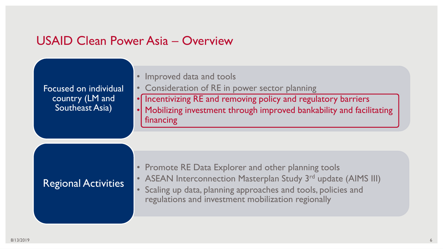#### USAID Clean Power Asia – Overview

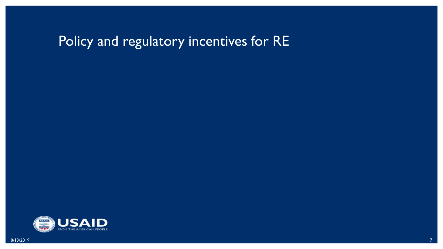# Policy and regulatory incentives for RE

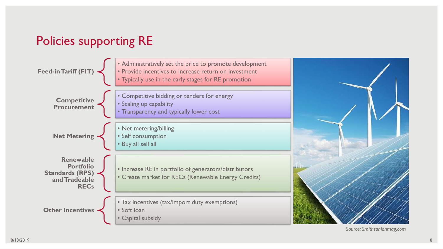### Policies supporting RE



*Source: Smithsonianmag.com*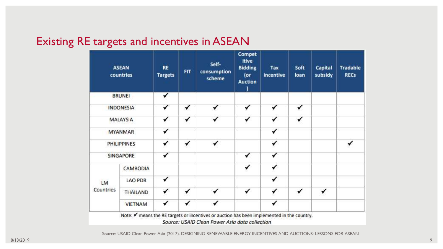#### Existing RE targets and incentives in ASEAN

| <b>ASEAN</b><br>countries | <b>RE</b><br><b>Targets</b> | <b>FIT</b> | Self-<br>consumption<br>scheme | Compet<br>itive<br><b>Bidding</b><br>(or<br><b>Auction</b> | Tax<br>incentive | Soft<br>loan | Capital<br>subsidy | <b>Tradable</b><br><b>RECs</b> |
|---------------------------|-----------------------------|------------|--------------------------------|------------------------------------------------------------|------------------|--------------|--------------------|--------------------------------|
| <b>BRUNEI</b>             | ✓                           |            |                                |                                                            |                  |              |                    |                                |
| <b>INDONESIA</b>          | ✔                           | ✔          |                                | ✓                                                          | ✔                | ✓            |                    |                                |
| MALAYSIA                  | ✓                           | ✓          |                                | ✓                                                          | √                |              |                    |                                |
| <b>MYANMAR</b>            | ✔                           |            |                                |                                                            | ✔                |              |                    |                                |
| <b>PHILIPPINES</b>        | ✓                           | ✔          |                                |                                                            | ✓                |              |                    |                                |
| <b>SINGAPORE</b>          | ✓                           |            |                                | ✓                                                          | ✔                |              |                    |                                |
| CAMBODIA                  |                             |            |                                | √                                                          | ✓                |              |                    |                                |
| <b>LAO PDR</b>            | ✔                           |            |                                |                                                            | ✔                |              |                    |                                |
| <b>THAILAND</b>           | ✔                           |            | ✔                              | ✓                                                          | ✓                | ✓            | ✔                  |                                |
| <b>VIETNAM</b>            | ✔                           | ✔          |                                |                                                            | ✔                |              |                    |                                |
|                           |                             |            | ✔                              |                                                            |                  |              |                    |                                |

Source: USAID Clean Power Asia (2017). DESIGNING RENEWABLE ENERGY INCENTIVES AND AUCTIONS: LESSONS FOR ASEAN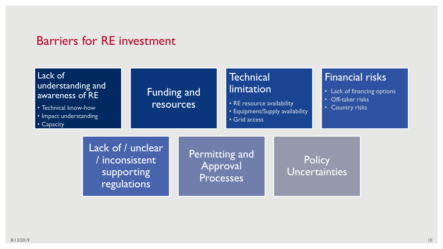#### Barriers for RE investment

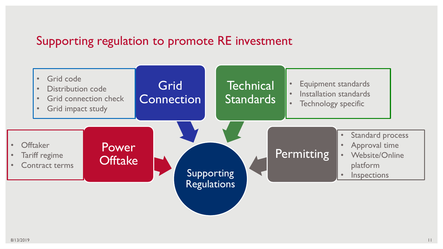### Supporting regulation to promote RE investment

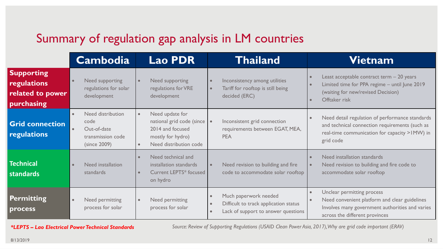### Summary of regulation gap analysis in LM countries

|                                                                    | <b>Cambodia</b>                                                               | <b>Lao PDR</b>                                                                                                    | <b>Thailand</b>                                                                                                    | Vietnam                                                                                                                                                          |
|--------------------------------------------------------------------|-------------------------------------------------------------------------------|-------------------------------------------------------------------------------------------------------------------|--------------------------------------------------------------------------------------------------------------------|------------------------------------------------------------------------------------------------------------------------------------------------------------------|
| <b>Supporting</b><br>regulations<br>related to power<br>purchasing | Need supporting<br>$\bullet$<br>regulations for solar<br>development          | Need supporting<br>regulations for VRE<br>development                                                             | Inconsistency among utilities<br>Tariff for rooftop is still being<br>decided (ERC)                                | Least acceptable contract term - 20 years<br>Limited time for PPA regime - until June 2019<br>(waiting for new/revised Decision)<br>Offtaker risk                |
| <b>Grid connection</b><br>regulations                              | Need distribution<br>code<br>Out-of-date<br>transmission code<br>(since 2009) | Need update for<br>national grid code (since  <br>2014 and focused<br>mostly for hydro)<br>Need distribution code | Inconsistent grid connection<br>requirements between EGAT, MEA,<br><b>PEA</b>                                      | Need detail regulation of performance standards<br>and technical connection requirements (such as<br>real-time communication for capacity > IMW) in<br>grid code |
| <b>Technical</b><br><b>standards</b>                               | Need installation<br>$\bullet$<br>standards                                   | Need technical and<br>installation standards<br><b>Current LEPTS* focused</b><br>on hydro                         | Need revision to building and fire<br>code to accommodate solar rooftop                                            | Need installation standards<br>Need revision to building and fire code to<br>accommodate solar rooftop                                                           |
| <b>Permitting</b><br>process                                       | $\bullet$<br>Need permitting<br>process for solar                             | Need permitting<br>process for solar                                                                              | Much paperwork needed<br>$\bullet$<br>Difficult to track application status<br>Lack of support to answer questions | Unclear permitting process<br>Need convenient platform and clear guidelines<br>Involves many government authorities and varies<br>across the different provinces |

*\*LEPTS – Lao Electrical Power Technical Standards Source: Review of Supporting Regulations (USAID Clean Power Asia, 2017), Why are grid code important (ERAV)*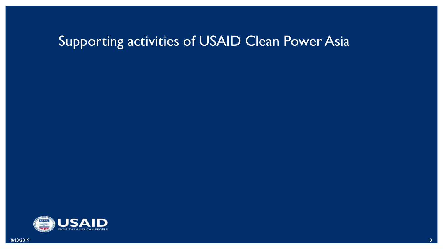# Supporting activities of USAID Clean Power Asia

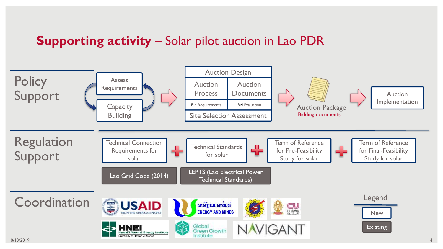### **Supporting activity** – Solar pilot auction in Lao PDR

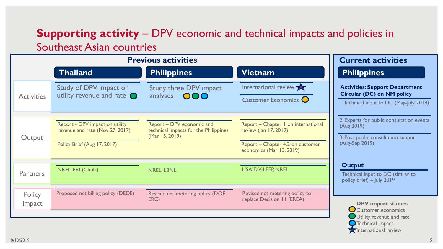#### **Supporting activity** – DPV economic and technical impacts and policies in Southeast Asian countries

|                         | <b>Previous activities</b>                                                                       | <b>Current activities</b>                                                            |                                                                                                                                 |                                                                                                                        |
|-------------------------|--------------------------------------------------------------------------------------------------|--------------------------------------------------------------------------------------|---------------------------------------------------------------------------------------------------------------------------------|------------------------------------------------------------------------------------------------------------------------|
|                         | <b>Thailand</b>                                                                                  | <b>Philippines</b>                                                                   | <b>Vietnam</b>                                                                                                                  | <b>Philippines</b>                                                                                                     |
| <b>Activities</b>       | Study of DPV impact on<br>utility revenue and rate $\bigcirc$                                    | <b>Study three DPV impact</b><br>analyses OOO                                        | International review<br>Customer Economics O                                                                                    | <b>Activities: Support Department</b><br><b>Circular (DC) on NM policy</b><br>I. Technical input to DC (May-July 2019) |
| Output                  | Report - DPV impact on utility<br>revenue and rate (Nov 27, 2017)<br>Policy Brief (Aug 17, 2017) | Report - DPV economic and<br>technical impacts for the Philippines<br>(Mar 15, 2019) | Report - Chapter I on international<br>review (Jan $17, 2019$ )<br>Report - Chapter 4.2 on customer<br>economics (Mar 13, 2019) | 2. Experts for public consultation events<br>(Aug 2019)<br>3. Post-public consultation support<br>(Aug-Sep 2019)       |
| <b>Partners</b>         | NREL, ERI (Chula)                                                                                | <b>NREL, LBNL</b>                                                                    | <b>USAID V-LEEP, NREL</b>                                                                                                       | <b>Output</b><br>Technical input to DC (similar to<br>policy brief) - July 2019                                        |
| Policy<br><b>Impact</b> | Proposed net billing policy (DEDE)                                                               | Revised net-metering policy (DOE,<br>ERC)                                            | Revised net-metering policy to<br>replace Decision II (EREA)                                                                    | <b>DPV</b> impact studies<br>Customer economics<br>Utility revenue and rate                                            |

Technical impact **X** International review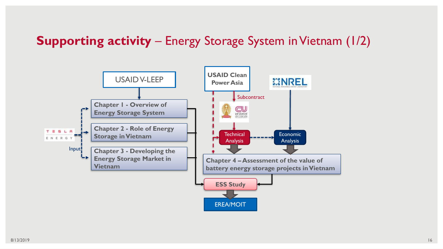### **Supporting activity** – Energy Storage System in Vietnam (1/2)

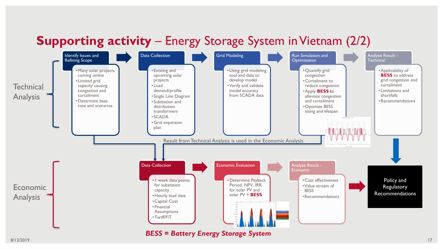### **Supporting activity** – Energy Storage System in Vietnam (2/2)

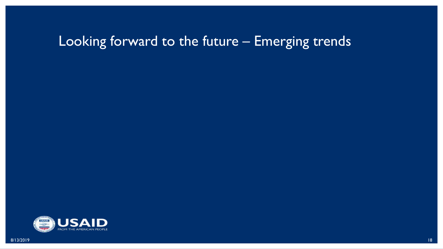# Looking forward to the future – Emerging trends

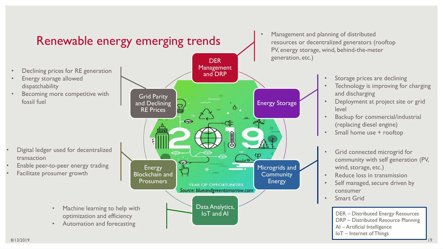

8/13/2019 19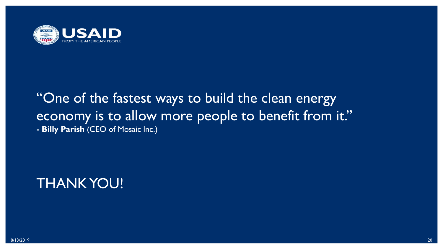

### "One of the fastest ways to build the clean energy economy is to allow more people to benefit from it." **- Billy Parish** (CEO of Mosaic Inc.)

## THANK YOU!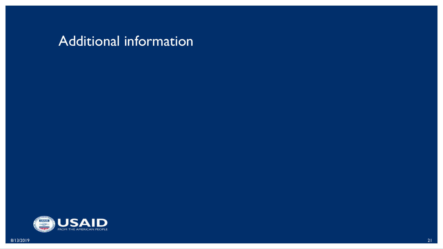### Additional information

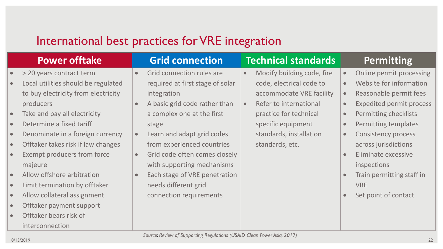### International best practices for VRE integration